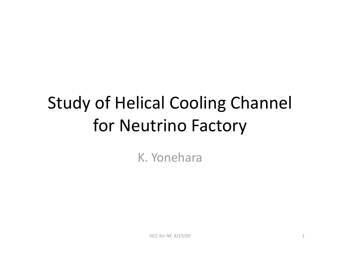# Study
of
Helical
Cooling
Channel for
Neutrino
Factory

K.
Yonehara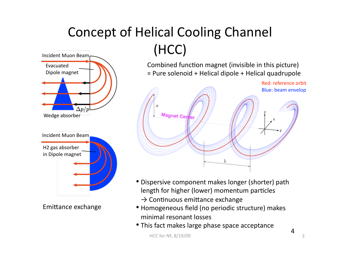#### Concept of Helical Cooling Channel (HCC) Incident
Muon
Beam



Emittance exchange

Combined function magnet (invisible in this picture) = Pure solenoid + Helical dipole + Helical quadrupole



- •Dispersive
component
makes
longer
(shorter)
path length for higher (lower) momentum particles  $\rightarrow$  Continuous emittance exchange
- Homogeneous field (no periodic structure) makes minimal
resonant
losses
- This fact makes large phase space acceptance

4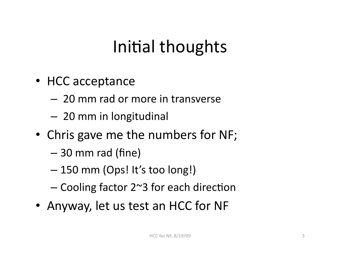# Initial thoughts

- HCC
acceptance
	- 20
	mm
	rad
	or
	more
	in
	transverse
	- 20
	mm
	in
	longitudinal
- Chris gave me the numbers for NF;
	- 30
	mm
	rad
	(fine)
	- 150
	mm
	(Ops!
	It's
	too
	long!)
	- $-$  Cooling factor 2 $\sim$ 3 for each direction
- Anyway, let us test an HCC for NF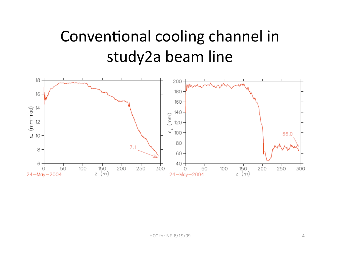### Conventional cooling channel in study2a
beam
line

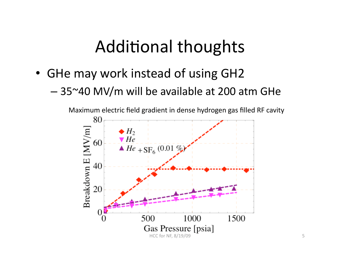#### Additional thoughts

- GHe may work instead of using GH2
	- 35~40
	MV/m
	will
	be
	available
	at
	200
	atm GHe

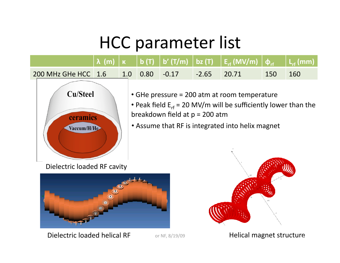## HCC
parameter
list

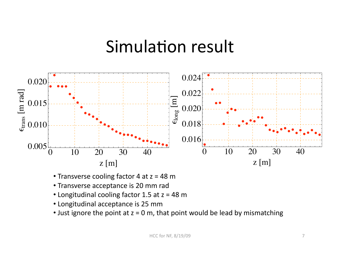#### Simulation result



- Transverse cooling factor 4 at z = 48 m
- •Transverse
acceptance
is
20
mm
rad
- Longitudinal cooling factor 1.5 at z = 48 m
- •Longitudinal
acceptance
is
25
mm
- Just ignore the point at  $z = 0$  m, that point would be lead by mismatching